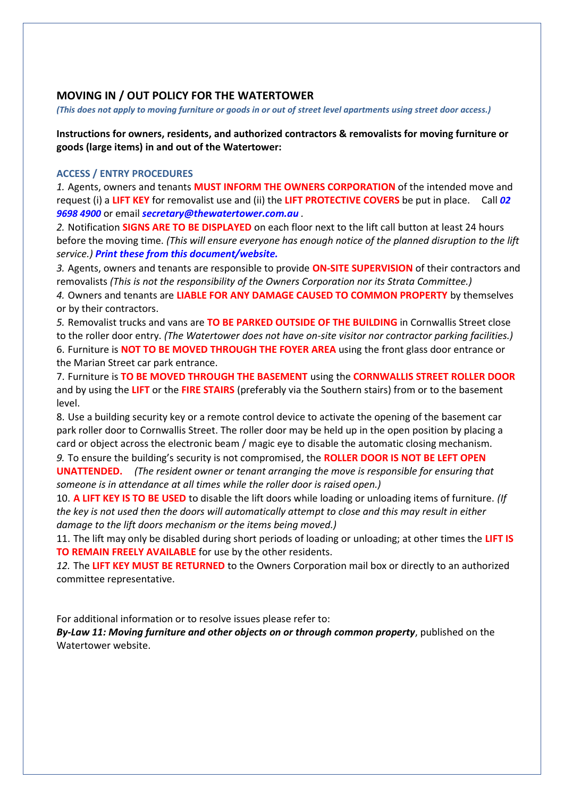## **MOVING IN / OUT POLICY FOR THE WATERTOWER**

*(This does not apply to moving furniture or goods in or out of street level apartments using street door access.)*

**Instructions for owners, residents, and authorized contractors & removalists for moving furniture or goods (large items) in and out of the Watertower:**

## **ACCESS / ENTRY PROCEDURES**

*1.* Agents, owners and tenants **MUST INFORM THE OWNERS CORPORATION** of the intended move and request (i) a **LIFT KEY** for removalist use and (ii) the **LIFT PROTECTIVE COVERS** be put in place. Call *02 9698 4900* or email *[secretary@thewatertower.com.au](mailto:secretary@thewatertower.com.au) .* 

*2.* Notification **SIGNS ARE TO BE DISPLAYED** on each floor next to the lift call button at least 24 hours before the moving time. *(This will ensure everyone has enough notice of the planned disruption to the lift service.) Print these from this document/website.*

*3.* Agents, owners and tenants are responsible to provide **ON-SITE SUPERVISION** of their contractors and removalists *(This is not the responsibility of the Owners Corporation nor its Strata Committee.)* 

*4.* Owners and tenants are **LIABLE FOR ANY DAMAGE CAUSED TO COMMON PROPERTY** by themselves or by their contractors.

*5.* Removalist trucks and vans are **TO BE PARKED OUTSIDE OF THE BUILDING** in Cornwallis Street close to the roller door entry. *(The Watertower does not have on-site visitor nor contractor parking facilities.)*  6. Furniture is **NOT TO BE MOVED THROUGH THE FOYER AREA** using the front glass door entrance or the Marian Street car park entrance.

7. Furniture is **TO BE MOVED THROUGH THE BASEMENT** using the **CORNWALLIS STREET ROLLER DOOR** and by using the **LIFT** or the **FIRE STAIRS** (preferably via the Southern stairs) from or to the basement level.

8. Use a building security key or a remote control device to activate the opening of the basement car park roller door to Cornwallis Street. The roller door may be held up in the open position by placing a card or object across the electronic beam / magic eye to disable the automatic closing mechanism.

*9.* To ensure the building's security is not compromised, the **ROLLER DOOR IS NOT BE LEFT OPEN UNATTENDED.** *(The resident owner or tenant arranging the move is responsible for ensuring that someone is in attendance at all times while the roller door is raised open.)* 

10. **A LIFT KEY IS TO BE USED** to disable the lift doors while loading or unloading items of furniture. *(If the key is not used then the doors will automatically attempt to close and this may result in either damage to the lift doors mechanism or the items being moved.)*

11. The lift may only be disabled during short periods of loading or unloading; at other times the **LIFT IS TO REMAIN FREELY AVAILABLE** for use by the other residents.

*12.* The **LIFT KEY MUST BE RETURNED** to the Owners Corporation mail box or directly to an authorized committee representative.

For additional information or to resolve issues please refer to:

*By-Law 11: Moving furniture and other objects on or through common property*, published on the Watertower website.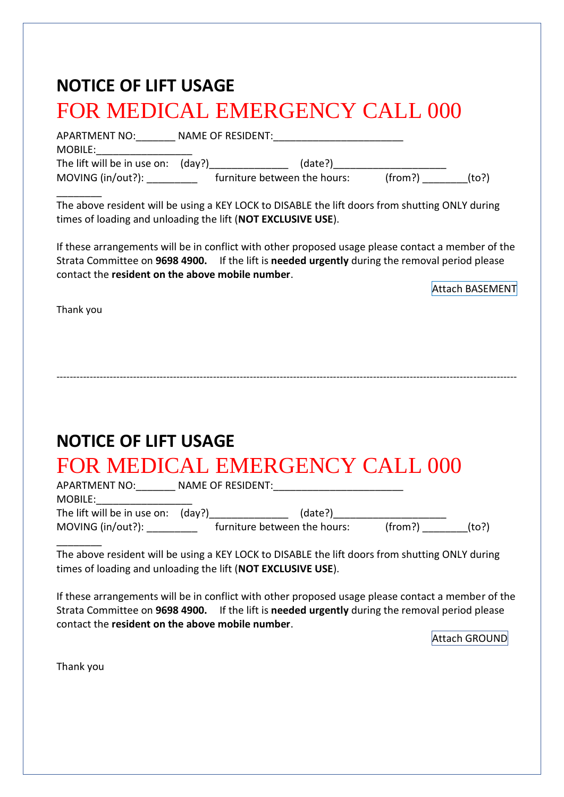| <b>NOTICE OF LIFT USAGE</b><br><b>FOR MEDICAL EMERGENCY CALL 000</b>                                                                                                                                                                                     |
|----------------------------------------------------------------------------------------------------------------------------------------------------------------------------------------------------------------------------------------------------------|
| MOBILE: ____________________                                                                                                                                                                                                                             |
| MOVING (in/out?): $f(x,y) = f(x)$ furniture between the hours: (from?) (to?)                                                                                                                                                                             |
| The above resident will be using a KEY LOCK to DISABLE the lift doors from shutting ONLY during<br>times of loading and unloading the lift (NOT EXCLUSIVE USE).                                                                                          |
| If these arrangements will be in conflict with other proposed usage please contact a member of the<br>Strata Committee on 9698 4900. If the lift is needed urgently during the removal period please<br>contact the resident on the above mobile number. |
| Attach BASEMENT                                                                                                                                                                                                                                          |
|                                                                                                                                                                                                                                                          |
| <b>NOTICE OF LIFT USAGE</b>                                                                                                                                                                                                                              |
| <b>FOR MEDICAL EMERGENCY CALL 000</b>                                                                                                                                                                                                                    |
|                                                                                                                                                                                                                                                          |
| The above resident will be using a KEY LOCK to DISABLE the lift doors from shutting ONLY during<br>times of loading and unloading the lift (NOT EXCLUSIVE USE).                                                                                          |
| If these arrangements will be in conflict with other proposed usage please contact a member of the<br>Strata Committee on 9698 4900. If the lift is needed urgently during the removal period please<br>contact the resident on the above mobile number. |
| Attach GROUND                                                                                                                                                                                                                                            |
| Thank you                                                                                                                                                                                                                                                |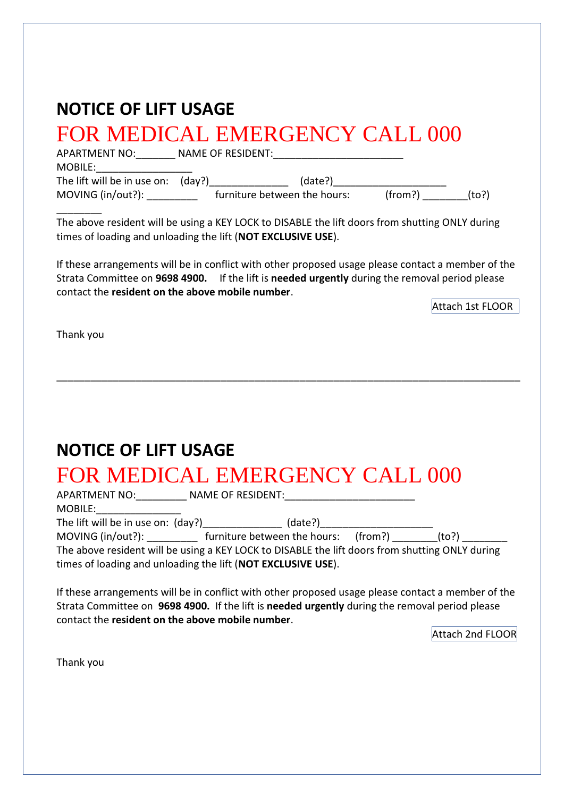| <b>NOTICE OF LIFT USAGE</b>                                                                                                                                                                                                                                                                                                                                                                |
|--------------------------------------------------------------------------------------------------------------------------------------------------------------------------------------------------------------------------------------------------------------------------------------------------------------------------------------------------------------------------------------------|
| <b>FOR MEDICAL EMERGENCY CALL 000</b>                                                                                                                                                                                                                                                                                                                                                      |
| The above resident will be using a KEY LOCK to DISABLE the lift doors from shutting ONLY during<br>times of loading and unloading the lift (NOT EXCLUSIVE USE).                                                                                                                                                                                                                            |
| If these arrangements will be in conflict with other proposed usage please contact a member of the<br>Strata Committee on 9698 4900. If the lift is needed urgently during the removal period please<br>contact the resident on the above mobile number.<br>Attach 1st FLOOR                                                                                                               |
| Thank you                                                                                                                                                                                                                                                                                                                                                                                  |
|                                                                                                                                                                                                                                                                                                                                                                                            |
| <b>NOTICE OF LIFT USAGE</b>                                                                                                                                                                                                                                                                                                                                                                |
| FOR MEDICAL EMERGENCY CALL 000<br>MOBILE:__________________                                                                                                                                                                                                                                                                                                                                |
| The lift will be in use on: (day?)<br>The lift will be in use on: (day?) ___________ (date?) _________________________<br>MOVING (in/out?): ____________ furniture between the hours: (from?) _________(to?) __________<br>The above resident will be using a KEY LOCK to DISABLE the lift doors from shutting ONLY during<br>times of loading and unloading the lift (NOT EXCLUSIVE USE). |
| If these arrangements will be in conflict with other proposed usage please contact a member of the<br>Strata Committee on 9698 4900. If the lift is needed urgently during the removal period please<br>contact the resident on the above mobile number.<br>Attach 2nd FLOOR                                                                                                               |
| Thank you                                                                                                                                                                                                                                                                                                                                                                                  |